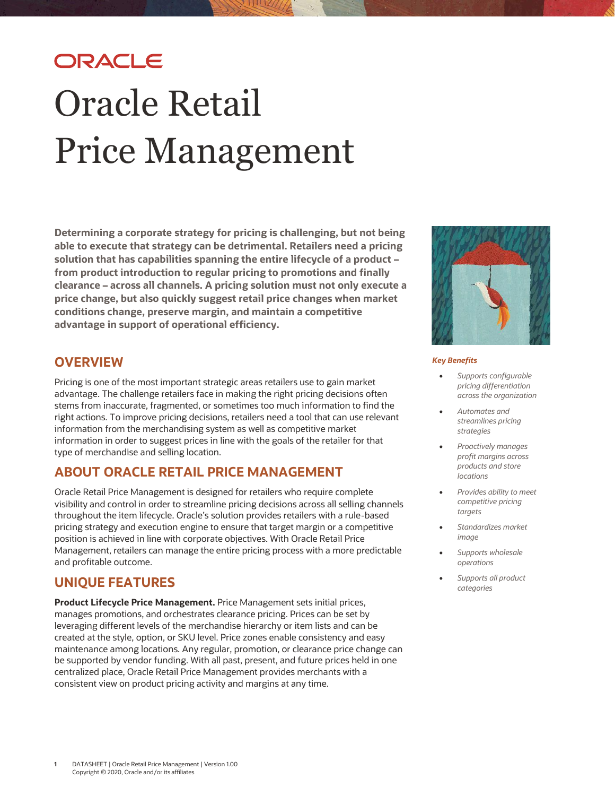# ORACLE Oracle Retail Price Management

**Determining a corporate strategy for pricing is challenging, but not being able to execute that strategy can be detrimental. Retailers need a pricing solution that has capabilities spanning the entire lifecycle of a product – from product introduction to regular pricing to promotions and finally clearance – across all channels. A pricing solution must not only execute a price change, but also quickly suggest retail price changes when market conditions change, preserve margin, and maintain a competitive advantage in support of operational efficiency.**

## **OVERVIEW**

Pricing is one of the most important strategic areas retailers use to gain market advantage. The challenge retailers face in making the right pricing decisions often stems from inaccurate, fragmented, or sometimes too much information to find the right actions. To improve pricing decisions, retailers need a tool that can use relevant information from the merchandising system as well as competitive market information in order to suggest prices in line with the goals of the retailer for that type of merchandise and selling location.

## **ABOUT ORACLE RETAIL PRICE MANAGEMENT**

Oracle Retail Price Management is designed for retailers who require complete visibility and control in order to streamline pricing decisions across all selling channels throughout the item lifecycle. Oracle's solution provides retailers with a rule-based pricing strategy and execution engine to ensure that target margin or a competitive position is achieved in line with corporate objectives. With Oracle Retail Price Management, retailers can manage the entire pricing process with a more predictable and profitable outcome.

## **UNIQUE FEATURES**

**Product Lifecycle Price Management.** Price Management sets initial prices, manages promotions, and orchestrates clearance pricing. Prices can be set by leveraging different levels of the merchandise hierarchy or item lists and can be created at the style, option, or SKU level. Price zones enable consistency and easy maintenance among locations. Any regular, promotion, or clearance price change can be supported by vendor funding. With all past, present, and future prices held in one centralized place, Oracle Retail Price Management provides merchants with a consistent view on product pricing activity and margins at any time.



#### *Key Benefits*

- *Supports configurable pricing differentiation across the organization*
- *Automates and streamlines pricing strategies*
- *Proactively manages profit margins across products and store locations*
- *Provides ability to meet competitive pricing targets*
- *Standardizes market image*
- *Supports wholesale operations*
- *Supports all product categories*